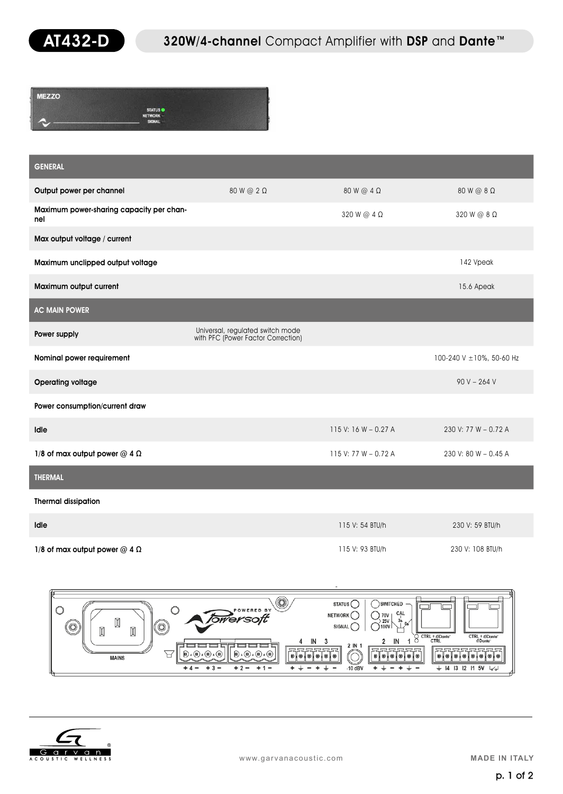

| <b>MEZZO</b> |                                 |  |
|--------------|---------------------------------|--|
|              | <b>STATUS</b><br><b>NETWORK</b> |  |
|              | <b>SIGNAL</b>                   |  |

| <b>GENERAL</b>                                  |                                                                        |                        |                           |
|-------------------------------------------------|------------------------------------------------------------------------|------------------------|---------------------------|
| Output power per channel                        | 80 W @ 2 Ω                                                             | $80 W @ 4 \Omega$      | 80 W @ 8 Ω                |
| Maximum power-sharing capacity per chan-<br>nel |                                                                        | 320 W @ $4 \Omega$     | 320 W @ 8 Ω               |
| Max output voltage / current                    |                                                                        |                        |                           |
| Maximum unclipped output voltage                |                                                                        |                        | 142 Vpeak                 |
| Maximum output current                          |                                                                        |                        | 15.6 Apeak                |
| <b>AC MAIN POWER</b>                            |                                                                        |                        |                           |
| Power supply                                    | Universal, regulated switch mode<br>with PFC (Power Factor Correction) |                        |                           |
| Nominal power requirement                       |                                                                        |                        | 100-240 V ± 10%, 50-60 Hz |
| <b>Operating voltage</b>                        |                                                                        |                        | $90 V - 264 V$            |
| Power consumption/current draw                  |                                                                        |                        |                           |
| Idle                                            |                                                                        | 115 V: 16 W - 0.27 A   | 230 V: 77 W - 0.72 A      |
| 1/8 of max output power $@$ 4 $\Omega$          |                                                                        | 115 V: 77 W $-$ 0.72 A | 230 V: 80 W - 0.45 A      |
| <b>THERMAL</b>                                  |                                                                        |                        |                           |
| <b>Thermal dissipation</b>                      |                                                                        |                        |                           |
| Idle                                            |                                                                        | 115 V: 54 BTU/h        | 230 V: 59 BTU/h           |
|                                                 |                                                                        |                        |                           |

 $1/8$  of max output power @ 4 Ω 115 V: 93 BTU/h 230 V: 108 BTU/h